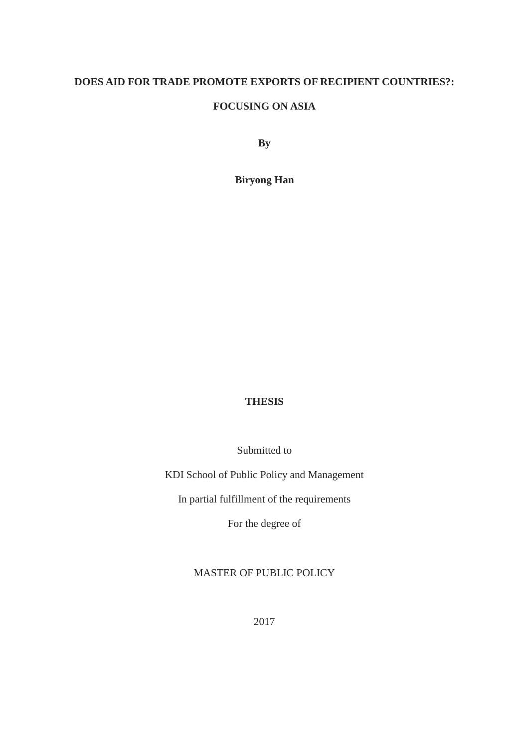## **DOES AID FOR TRADE PROMOTE EXPORTS OF RECIPIENT COUNTRIES?:**

## **FOCUSING ON ASIA**

**By** 

**Biryong Han**

## **THESIS**

Submitted to

KDI School of Public Policy and Management

In partial fulfillment of the requirements

For the degree of

# MASTER OF PUBLIC POLICY

2017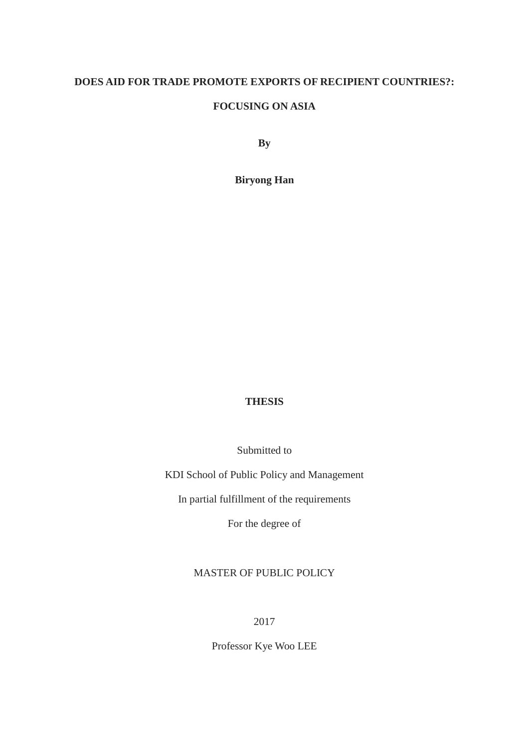## **DOES AID FOR TRADE PROMOTE EXPORTS OF RECIPIENT COUNTRIES?:**

## **FOCUSING ON ASIA**

**By** 

**Biryong Han**

## **THESIS**

Submitted to

KDI School of Public Policy and Management

In partial fulfillment of the requirements

For the degree of

# MASTER OF PUBLIC POLICY

2017

Professor Kye Woo LEE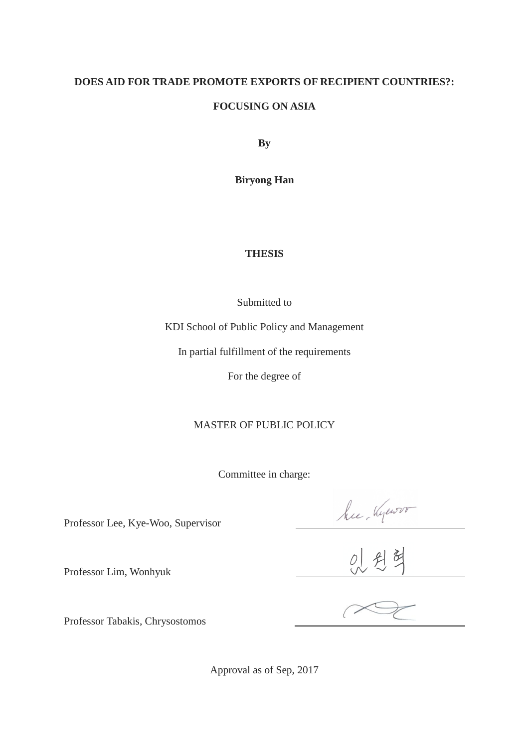# **DOES AID FOR TRADE PROMOTE EXPORTS OF RECIPIENT COUNTRIES?: FOCUSING ON ASIA**

**By** 

**Biryong Han**

# **THESIS**

Submitted to

KDI School of Public Policy and Management

In partial fulfillment of the requirements

For the degree of

# MASTER OF PUBLIC POLICY

Committee in charge:

hu Kyewoor<br>0 2 3

Professor Lee, Kye-Woo, Supervisor

Professor Tabakis, Chrysostomos

Professor Lim, Wonhyuk

Approval as of Sep, 2017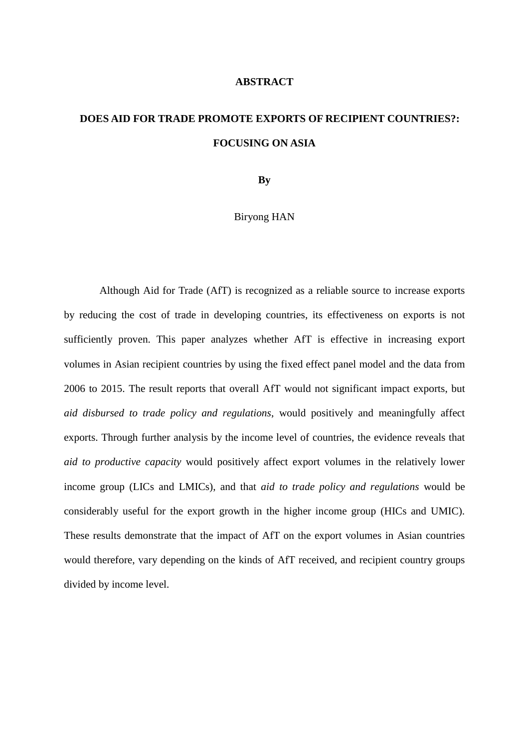## **ABSTRACT**

# **DOES AID FOR TRADE PROMOTE EXPORTS OF RECIPIENT COUNTRIES?: FOCUSING ON ASIA**

**By** 

Biryong HAN

Although Aid for Trade (AfT) is recognized as a reliable source to increase exports by reducing the cost of trade in developing countries, its effectiveness on exports is not sufficiently proven. This paper analyzes whether AfT is effective in increasing export volumes in Asian recipient countries by using the fixed effect panel model and the data from 2006 to 2015. The result reports that overall AfT would not significant impact exports, but *aid disbursed to trade policy and regulations*, would positively and meaningfully affect exports. Through further analysis by the income level of countries, the evidence reveals that *aid to productive capacity* would positively affect export volumes in the relatively lower income group (LICs and LMICs), and that *aid to trade policy and regulations* would be considerably useful for the export growth in the higher income group (HICs and UMIC). These results demonstrate that the impact of AfT on the export volumes in Asian countries would therefore, vary depending on the kinds of AfT received, and recipient country groups divided by income level.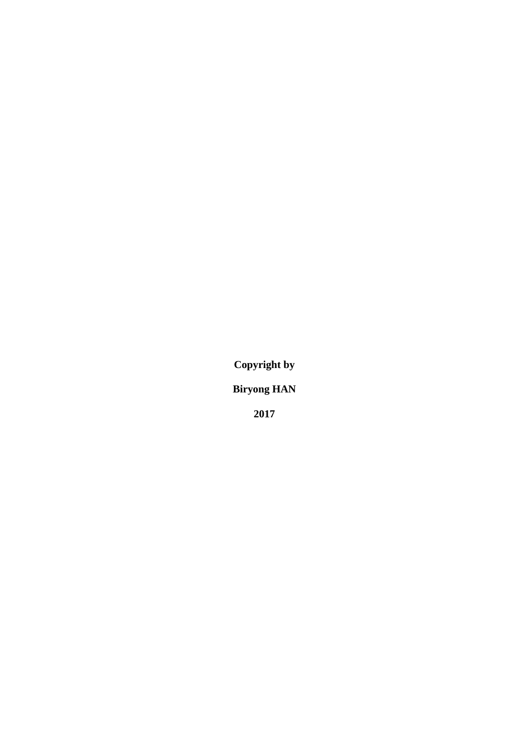**Copyright by**

**Biryong HAN**

**2017**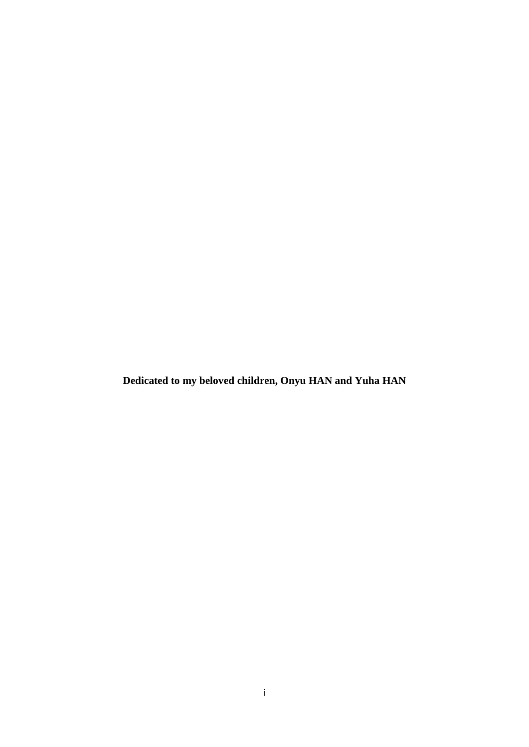**Dedicated to my beloved children, Onyu HAN and Yuha HAN**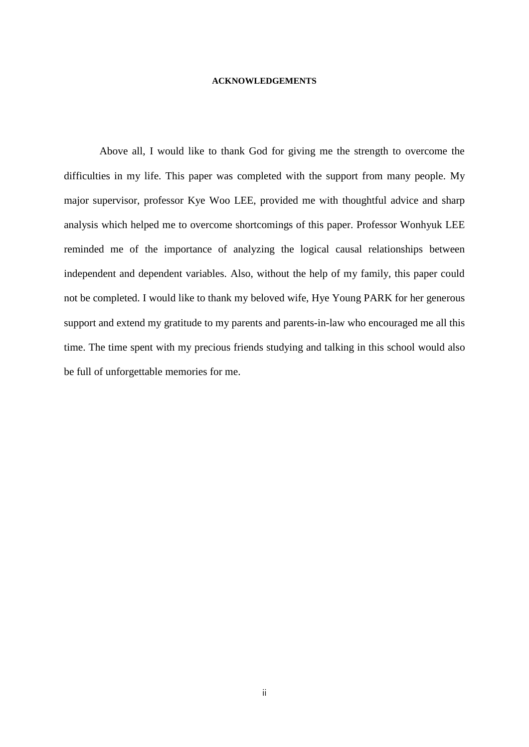#### **ACKNOWLEDGEMENTS**

Above all, I would like to thank God for giving me the strength to overcome the difficulties in my life. This paper was completed with the support from many people. My major supervisor, professor Kye Woo LEE, provided me with thoughtful advice and sharp analysis which helped me to overcome shortcomings of this paper. Professor Wonhyuk LEE reminded me of the importance of analyzing the logical causal relationships between independent and dependent variables. Also, without the help of my family, this paper could not be completed. I would like to thank my beloved wife, Hye Young PARK for her generous support and extend my gratitude to my parents and parents-in-law who encouraged me all this time. The time spent with my precious friends studying and talking in this school would also be full of unforgettable memories for me.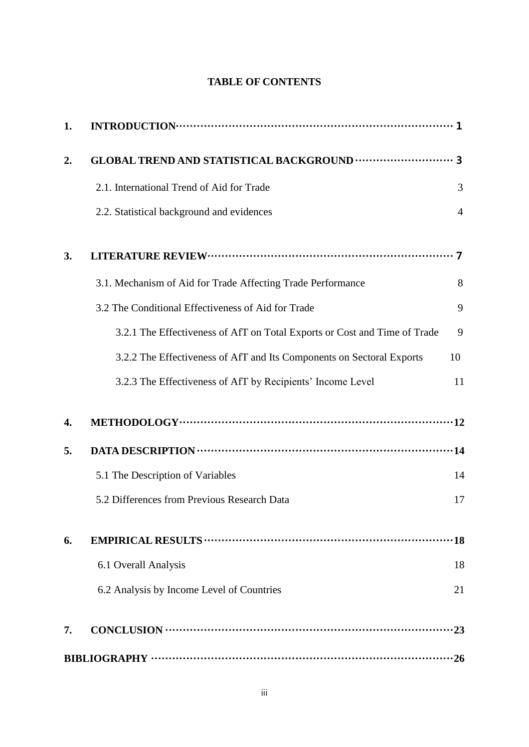## **TABLE OF CONTENTS**

| 1. |                                                                           |                |
|----|---------------------------------------------------------------------------|----------------|
| 2. |                                                                           |                |
|    | 2.1. International Trend of Aid for Trade                                 | 3              |
|    | 2.2. Statistical background and evidences                                 | $\overline{4}$ |
| 3. |                                                                           |                |
|    | 3.1. Mechanism of Aid for Trade Affecting Trade Performance               | 8              |
|    | 3.2 The Conditional Effectiveness of Aid for Trade                        | 9              |
|    | 3.2.1 The Effectiveness of AfT on Total Exports or Cost and Time of Trade | 9              |
|    | 3.2.2 The Effectiveness of AfT and Its Components on Sectoral Exports     | 10             |
|    | 3.2.3 The Effectiveness of AfT by Recipients' Income Level                | 11             |
| 4. |                                                                           |                |
| 5. |                                                                           |                |
|    | 5.1 The Description of Variables                                          | 14             |
|    | 5.2 Differences from Previous Research Data                               | 17             |
| 6. | EMPIRICAL RESULTS ………………………………………………………………                                | $\cdot$ 18     |
|    | 6.1 Overall Analysis                                                      | 18             |
|    | 6.2 Analysis by Income Level of Countries                                 | 21             |
| 7. |                                                                           |                |
|    |                                                                           |                |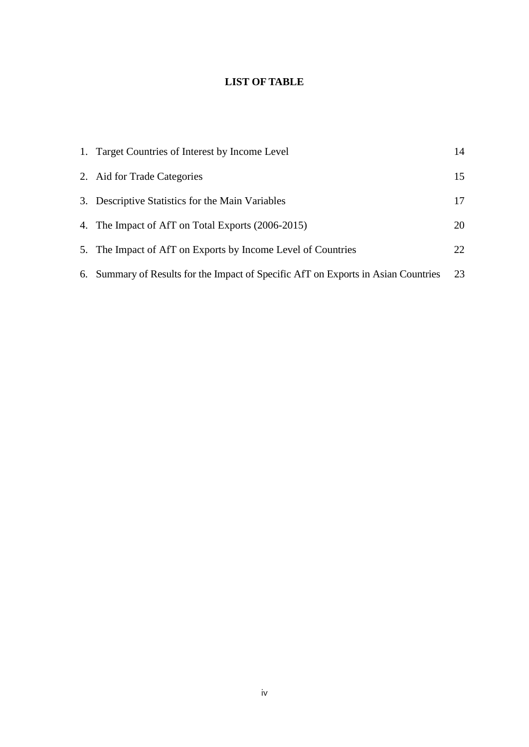## **LIST OF TABLE**

| 1. Target Countries of Interest by Income Level                                    | 14 |
|------------------------------------------------------------------------------------|----|
| 2. Aid for Trade Categories                                                        | 15 |
| 3. Descriptive Statistics for the Main Variables                                   | 17 |
| 4. The Impact of AfT on Total Exports (2006-2015)                                  | 20 |
| 5. The Impact of AfT on Exports by Income Level of Countries                       | 22 |
| 6. Summary of Results for the Impact of Specific AfT on Exports in Asian Countries | 23 |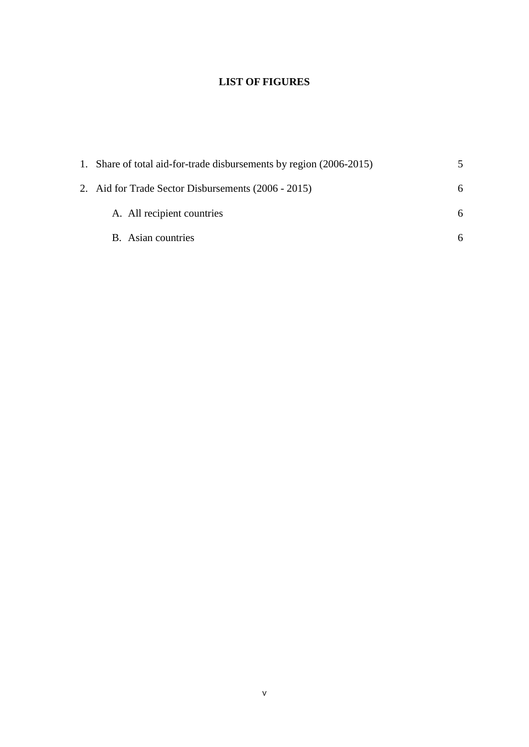# **LIST OF FIGURES**

| 1. Share of total aid-for-trade disbursements by region (2006-2015) | 5 |
|---------------------------------------------------------------------|---|
| 2. Aid for Trade Sector Disbursements (2006 - 2015)                 | 6 |
| A. All recipient countries                                          | 6 |
| B. Asian countries                                                  | 6 |
|                                                                     |   |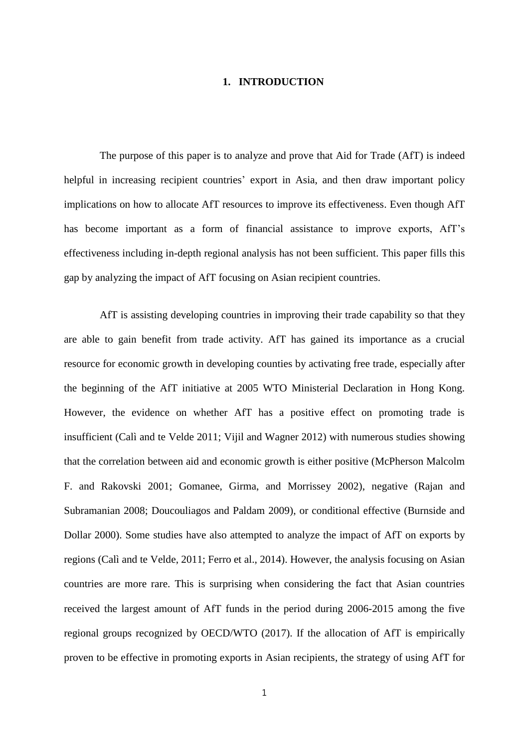## **1. INTRODUCTION**

The purpose of this paper is to analyze and prove that Aid for Trade (AfT) is indeed helpful in increasing recipient countries' export in Asia, and then draw important policy implications on how to allocate AfT resources to improve its effectiveness. Even though AfT has become important as a form of financial assistance to improve exports, AfT's effectiveness including in-depth regional analysis has not been sufficient. This paper fills this gap by analyzing the impact of AfT focusing on Asian recipient countries.

AfT is assisting developing countries in improving their trade capability so that they are able to gain benefit from trade activity. AfT has gained its importance as a crucial resource for economic growth in developing counties by activating free trade, especially after the beginning of the AfT initiative at 2005 WTO Ministerial Declaration in Hong Kong. However, the evidence on whether AfT has a positive effect on promoting trade is insufficient (Calì and te Velde 2011; Vijil and Wagner 2012) with numerous studies showing that the correlation between aid and economic growth is either positive (McPherson Malcolm F. and Rakovski 2001; Gomanee, Girma, and Morrissey 2002), negative (Rajan and Subramanian 2008; Doucouliagos and Paldam 2009), or conditional effective (Burnside and Dollar 2000). Some studies have also attempted to analyze the impact of AfT on exports by regions (Calì and te Velde, 2011; Ferro et al., 2014). However, the analysis focusing on Asian countries are more rare. This is surprising when considering the fact that Asian countries received the largest amount of AfT funds in the period during 2006-2015 among the five regional groups recognized by OECD/WTO (2017). If the allocation of AfT is empirically proven to be effective in promoting exports in Asian recipients, the strategy of using AfT for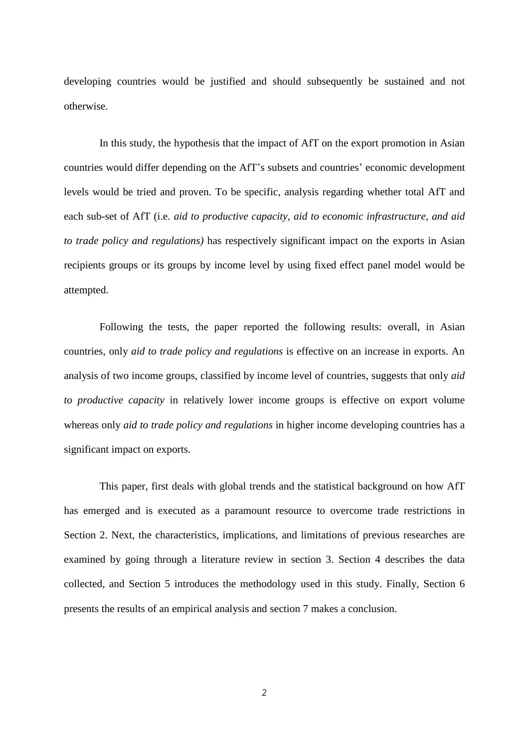developing countries would be justified and should subsequently be sustained and not otherwise.

In this study, the hypothesis that the impact of AfT on the export promotion in Asian countries would differ depending on the AfT's subsets and countries' economic development levels would be tried and proven. To be specific, analysis regarding whether total AfT and each sub-set of AfT (i.e. *aid to productive capacity, aid to economic infrastructure, and aid to trade policy and regulations)* has respectively significant impact on the exports in Asian recipients groups or its groups by income level by using fixed effect panel model would be attempted.

Following the tests, the paper reported the following results: overall, in Asian countries, only *aid to trade policy and regulations* is effective on an increase in exports. An analysis of two income groups, classified by income level of countries, suggests that only *aid to productive capacity* in relatively lower income groups is effective on export volume whereas only *aid to trade policy and regulations* in higher income developing countries has a significant impact on exports.

This paper, first deals with global trends and the statistical background on how AfT has emerged and is executed as a paramount resource to overcome trade restrictions in Section 2. Next, the characteristics, implications, and limitations of previous researches are examined by going through a literature review in section 3. Section 4 describes the data collected, and Section 5 introduces the methodology used in this study. Finally, Section 6 presents the results of an empirical analysis and section 7 makes a conclusion.

2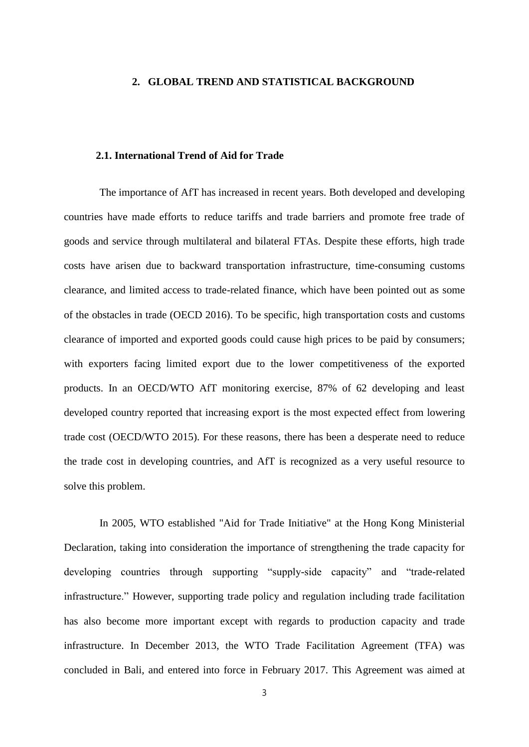#### **2. GLOBAL TREND AND STATISTICAL BACKGROUND**

## **2.1. International Trend of Aid for Trade**

The importance of AfT has increased in recent years. Both developed and developing countries have made efforts to reduce tariffs and trade barriers and promote free trade of goods and service through multilateral and bilateral FTAs. Despite these efforts, high trade costs have arisen due to backward transportation infrastructure, time-consuming customs clearance, and limited access to trade-related finance, which have been pointed out as some of the obstacles in trade (OECD 2016). To be specific, high transportation costs and customs clearance of imported and exported goods could cause high prices to be paid by consumers; with exporters facing limited export due to the lower competitiveness of the exported products. In an OECD/WTO AfT monitoring exercise, 87% of 62 developing and least developed country reported that increasing export is the most expected effect from lowering trade cost (OECD/WTO 2015). For these reasons, there has been a desperate need to reduce the trade cost in developing countries, and AfT is recognized as a very useful resource to solve this problem.

In 2005, WTO established "Aid for Trade Initiative" at the Hong Kong Ministerial Declaration, taking into consideration the importance of strengthening the trade capacity for developing countries through supporting "supply-side capacity" and "trade-related infrastructure." However, supporting trade policy and regulation including trade facilitation has also become more important except with regards to production capacity and trade infrastructure. In December 2013, the WTO Trade Facilitation Agreement (TFA) was concluded in Bali, and entered into force in February 2017. This Agreement was aimed at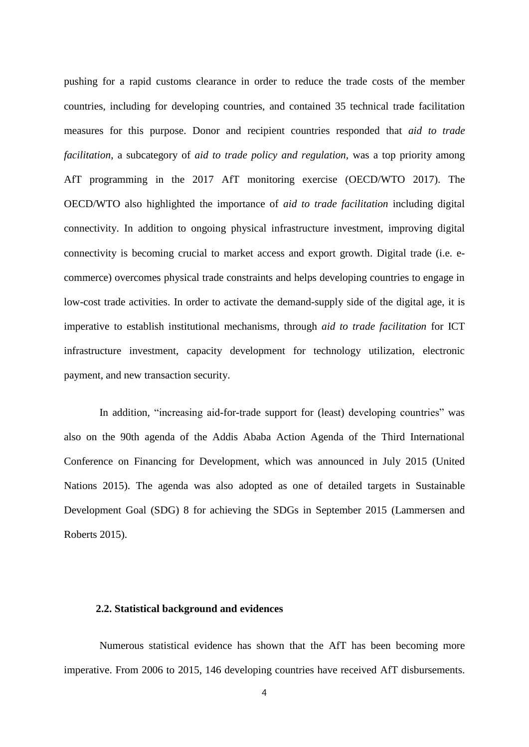pushing for a rapid [customs clearance](javascript:endicAutoLink() in order to reduce the trade costs of the member countries, including for developing countries, and contained 35 technical trade facilitation measures for this purpose. Donor and recipient countries responded that *aid to trade facilitation*, a subcategory of *aid to trade policy and regulation,* was a top priority among AfT programming in the 2017 AfT monitoring exercise (OECD/WTO 2017). The OECD/WTO also highlighted the importance of *aid to trade facilitation* including digital connectivity. In addition to ongoing physical infrastructure investment, improving digital connectivity is becoming crucial to market access and export growth. Digital trade (i.e. ecommerce) overcomes physical trade constraints and helps developing countries to engage in low-cost trade activities. In order to activate the demand-supply side of the digital age, it is imperative to establish institutional mechanisms, through *aid to trade facilitation* for ICT infrastructure investment, capacity development for technology utilization, electronic payment, and new transaction security.

In addition, "increasing aid-for-trade support for (least) developing countries" was also on the 90th agenda of the Addis Ababa Action Agenda of the Third International Conference on Financing for Development, which was announced in July 2015 (United Nations 2015). The agenda was also adopted as one of detailed targets in Sustainable Development Goal (SDG) 8 for achieving the SDGs in September 2015 (Lammersen and Roberts 2015).

## **2.2. Statistical background and evidences**

Numerous statistical evidence has shown that the AfT has been becoming more imperative. From 2006 to 2015, 146 developing countries have received AfT disbursements.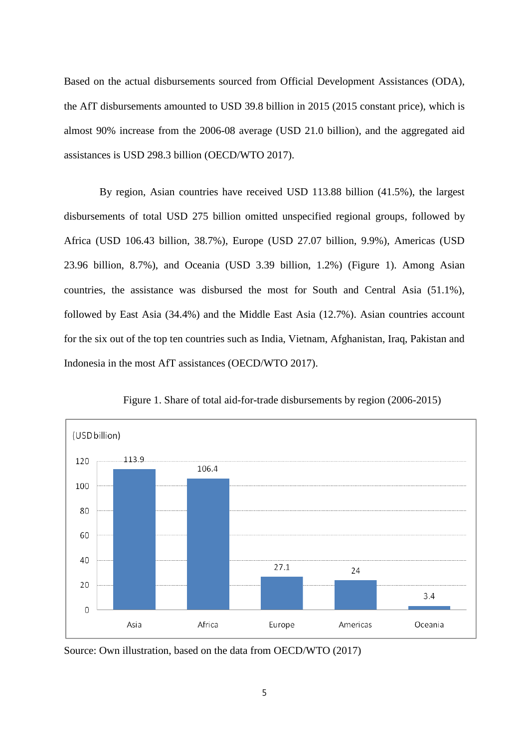Based on the actual disbursements sourced from Official Development Assistances (ODA), the AfT disbursements amounted to USD 39.8 billion in 2015 (2015 constant price), which is almost 90% increase from the 2006-08 average (USD 21.0 billion), and the aggregated aid assistances is USD 298.3 billion (OECD/WTO 2017).

By region, Asian countries have received USD 113.88 billion (41.5%), the largest disbursements of total USD 275 billion omitted unspecified regional groups, followed by Africa (USD 106.43 billion, 38.7%), Europe (USD 27.07 billion, 9.9%), Americas (USD 23.96 billion, 8.7%), and Oceania (USD 3.39 billion, 1.2%) (Figure 1). Among Asian countries, the assistance was disbursed the most for South and Central Asia (51.1%), followed by East Asia (34.4%) and the Middle East Asia (12.7%). Asian countries account for the six out of the top ten countries such as India, Vietnam, Afghanistan, Iraq, Pakistan and Indonesia in the most AfT assistances (OECD/WTO 2017).



Figure 1. Share of total aid-for-trade disbursements by region (2006-2015)

Source: Own illustration, based on the data from OECD/WTO (2017)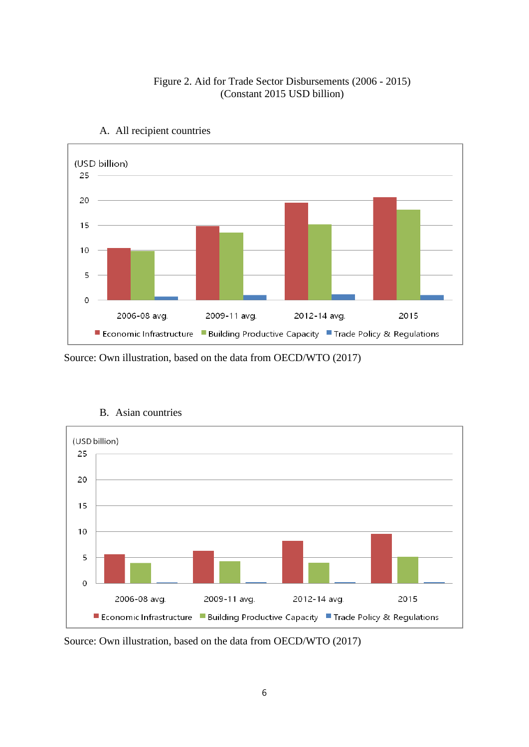

## Figure 2. Aid for Trade Sector Disbursements (2006 - 2015) (Constant 2015 USD billion)



## Source: Own illustration, based on the data from OECD/WTO (2017)



## B. Asian countries

Source: Own illustration, based on the data from OECD/WTO (2017)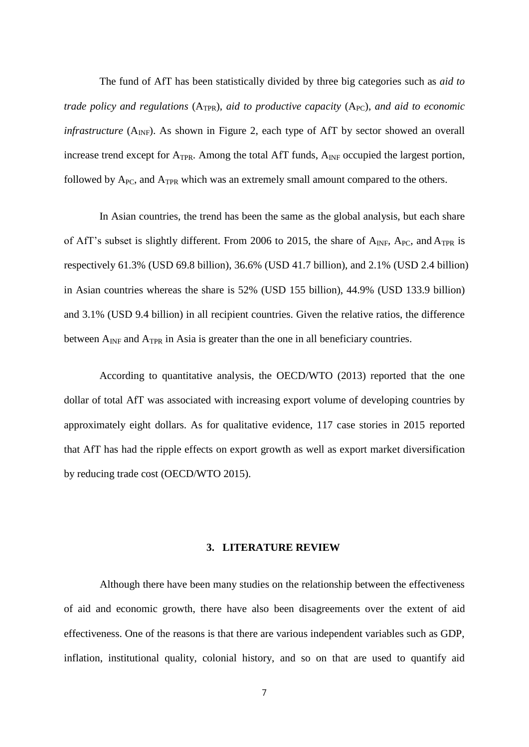The fund of AfT has been statistically divided by three big categories such as *aid to trade policy and regulations* (A<sub>TPR</sub>), *aid to productive capacity* (A<sub>PC</sub>), *and aid to economic infrastructure* ( $A_{INF}$ ). As shown in Figure 2, each type of AfT by sector showed an overall increase trend except for  $A_{TPR}$ . Among the total AfT funds,  $A_{INF}$  occupied the largest portion, followed by  $A_{PC}$ , and  $A_{TPR}$  which was an extremely small amount compared to the others.

In Asian countries, the trend has been the same as the global analysis, but each share of AfT's subset is slightly different. From 2006 to 2015, the share of  $A_{INF}$ ,  $A_{PC}$ , and  $A_{TPR}$  is respectively 61.3% (USD 69.8 billion), 36.6% (USD 41.7 billion), and 2.1% (USD 2.4 billion) in Asian countries whereas the share is 52% (USD 155 billion), 44.9% (USD 133.9 billion) and 3.1% (USD 9.4 billion) in all recipient countries. Given the relative ratios, the difference between  $A_{INF}$  and  $A_{TPR}$  in Asia is greater than the one in all beneficiary countries.

According to quantitative analysis, the OECD/WTO (2013) reported that the one dollar of total AfT was associated with increasing export volume of developing countries by approximately eight dollars. As for qualitative evidence, 117 case stories in 2015 reported that AfT has had the ripple effects on export growth as well as export market diversification by reducing trade cost (OECD/WTO 2015).

## **3. LITERATURE REVIEW**

Although there have been many studies on the relationship between the effectiveness of aid and economic growth, there have also been disagreements over the extent of aid effectiveness. One of the reasons is that there are various independent variables such as GDP, inflation, institutional quality, colonial history, and so on that are used to quantify aid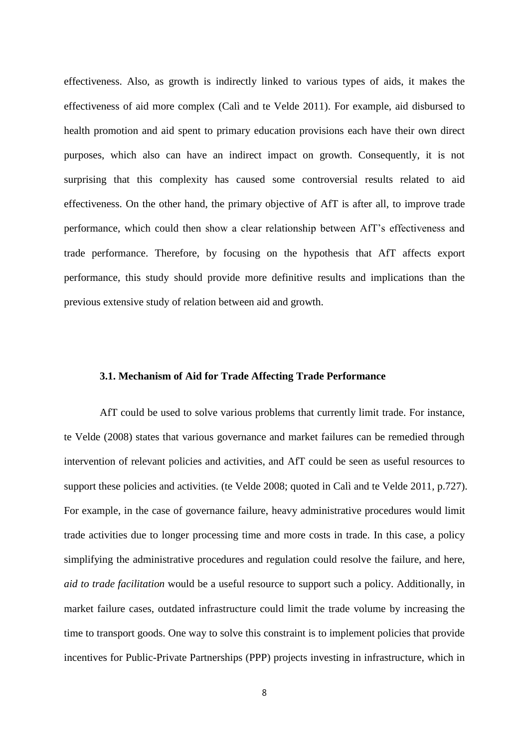effectiveness. Also, as growth is indirectly linked to various types of aids, it makes the effectiveness of aid more complex (Calì and te Velde 2011). For example, aid disbursed to health promotion and aid spent to primary education provisions each have their own direct purposes, which also can have an indirect impact on growth. Consequently, it is not surprising that this complexity has caused some controversial results related to aid effectiveness. On the other hand, the primary objective of AfT is after all, to improve trade performance, which could then show a clear relationship between AfT's effectiveness and trade performance. Therefore, by focusing on the hypothesis that AfT affects export performance, this study should provide more definitive results and implications than the previous extensive study of relation between aid and growth.

## **3.1. Mechanism of Aid for Trade Affecting Trade Performance**

AfT could be used to solve various problems that currently limit trade. For instance, te Velde (2008) states that various governance and market failures can be remedied through intervention of relevant policies and activities, and AfT could be seen as useful resources to support these policies and activities. (te Velde 2008; quoted in Calì and te Velde 2011, p.727). For example, in the case of governance failure, heavy administrative procedures would limit trade activities due to longer processing time and more costs in trade. In this case, a policy simplifying the administrative procedures and regulation could resolve the failure, and here, *aid to trade facilitation* would be a useful resource to support such a policy. Additionally, in market failure cases, outdated infrastructure could limit the trade volume by increasing the time to transport goods. One way to solve this constraint is to implement policies that provide incentives for Public-Private Partnerships (PPP) projects investing in infrastructure, which in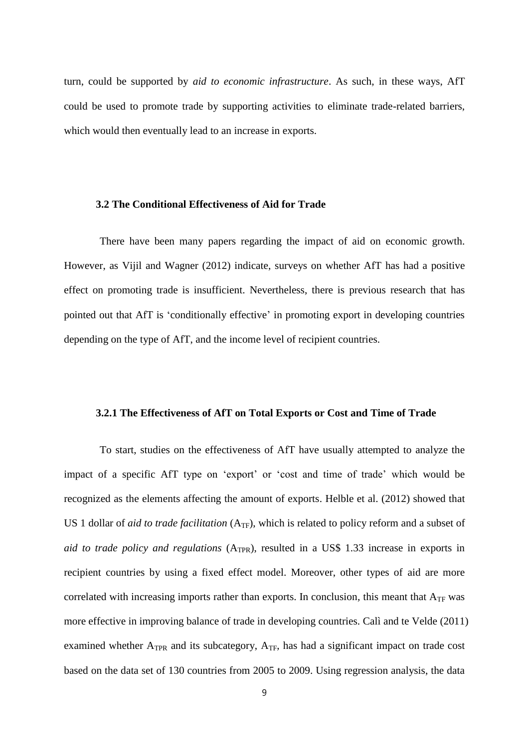turn, could be supported by *aid to economic infrastructure*. As such, in these ways, AfT could be used to promote trade by supporting activities to eliminate trade-related barriers, which would then eventually lead to an increase in exports.

#### **3.2 The Conditional Effectiveness of Aid for Trade**

There have been many papers regarding the impact of aid on economic growth. However, as Vijil and Wagner (2012) indicate, surveys on whether AfT has had a positive effect on promoting trade is insufficient. Nevertheless, there is previous research that has pointed out that AfT is 'conditionally effective' in promoting export in developing countries depending on the type of AfT, and the income level of recipient countries.

#### **3.2.1 The Effectiveness of AfT on Total Exports or Cost and Time of Trade**

To start, studies on the effectiveness of AfT have usually attempted to analyze the impact of a specific AfT type on 'export' or 'cost and time of trade' which would be recognized as the elements affecting the amount of exports. Helble et al. (2012) showed that US 1 dollar of *aid to trade facilitation* (A<sub>TF</sub>), which is related to policy reform and a subset of *aid to trade policy and regulations* (A<sub>TPR</sub>), resulted in a US\$ 1.33 increase in exports in recipient countries by using a fixed effect model. Moreover, other types of aid are more correlated with increasing imports rather than exports. In conclusion, this meant that  $A_{TF}$  was more effective in improving balance of trade in developing countries. Calì and te Velde (2011) examined whether  $A_{TPR}$  and its subcategory,  $A_{TF}$ , has had a significant impact on trade cost based on the data set of 130 countries from 2005 to 2009. Using regression analysis, the data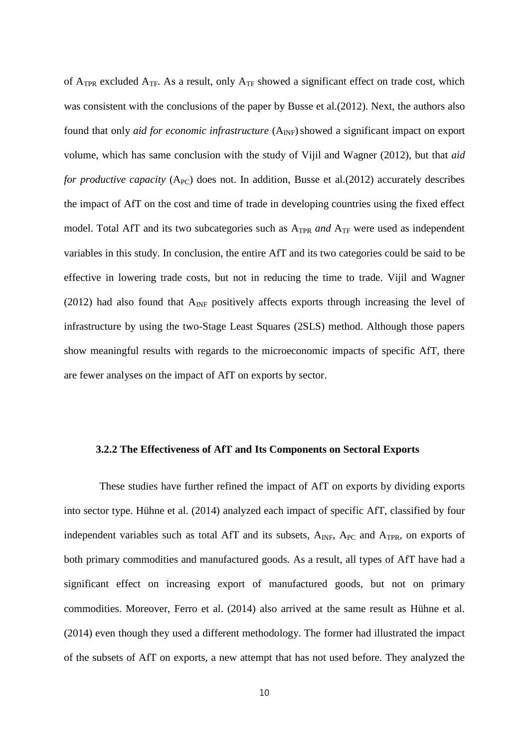of  $A_{TPR}$  excluded  $A_{TF}$ . As a result, only  $A_{TF}$  showed a significant effect on trade cost, which was consistent with the conclusions of the paper by Busse et al.(2012). Next, the authors also found that only *aid for economic infrastructure* (A<sub>INF</sub>) showed a significant impact on export volume, which has same conclusion with the study of Vijil and Wagner (2012), but that *aid for productive capacity* ( $A_{PC}$ ) does not. In addition, Busse et al.(2012) accurately describes the impact of AfT on the cost and time of trade in developing countries using the fixed effect model. Total AfT and its two subcategories such as A<sub>TPR</sub> and A<sub>TF</sub> were used as independent variables in this study. In conclusion, the entire AfT and its two categories could be said to be effective in lowering trade costs, but not in reducing the time to trade. Vijil and Wagner (2012) had also found that  $A_{\text{INF}}$  positively affects exports through increasing the level of infrastructure by using the two-Stage Least Squares (2SLS) method. Although those papers show meaningful results with regards to the microeconomic impacts of specific AfT, there are fewer analyses on the impact of AfT on exports by sector.

## **3.2.2 The Effectiveness of AfT and Its Components on Sectoral Exports**

These studies have further refined the impact of AfT on exports by dividing exports into sector type. Hühne et al. (2014) analyzed each impact of specific AfT, classified by four independent variables such as total AfT and its subsets, A<sub>INF</sub>, A<sub>PC</sub> and A<sub>TPR</sub>, on exports of both primary commodities and manufactured goods. As a result, all types of AfT have had a significant effect on increasing export of manufactured goods, but not on primary commodities. Moreover, Ferro et al. (2014) also arrived at the same result as Hühne et al. (2014) even though they used a different methodology. The former had illustrated the impact of the subsets of AfT on exports, a new attempt that has not used before. They analyzed the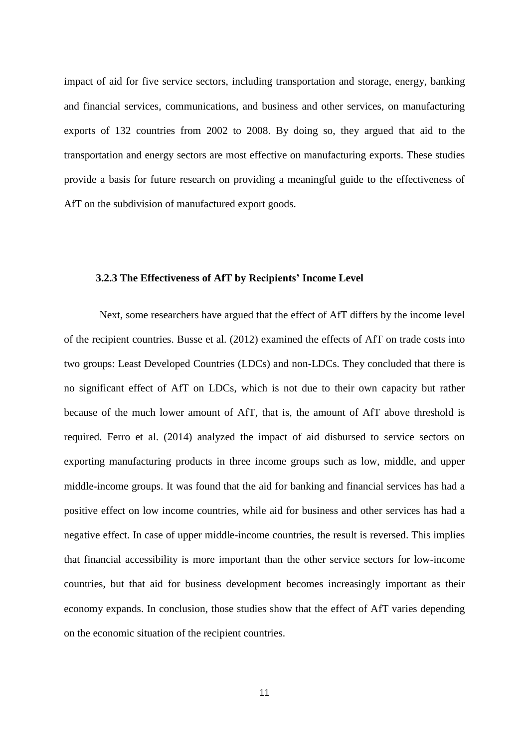impact of aid for five service sectors, including transportation and storage, energy, banking and financial services, communications, and business and other services, on manufacturing exports of 132 countries from 2002 to 2008. By doing so, they argued that aid to the transportation and energy sectors are most effective on manufacturing exports. These studies provide a basis for future research on providing a meaningful guide to the effectiveness of AfT on the subdivision of manufactured export goods.

#### **3.2.3 The Effectiveness of AfT by Recipients' Income Level**

Next, some researchers have argued that the effect of AfT differs by the income level of the recipient countries. Busse et al. (2012) examined the effects of AfT on trade costs into two groups: Least Developed Countries (LDCs) and non-LDCs. They concluded that there is no significant effect of AfT on LDCs, which is not due to their own capacity but rather because of the much lower amount of AfT, that is, the amount of AfT above threshold is required. Ferro et al. (2014) analyzed the impact of aid disbursed to service sectors on exporting manufacturing products in three income groups such as low, middle, and upper middle-income groups. It was found that the aid for banking and financial services has had a positive effect on low income countries, while aid for business and other services has had a negative effect. In case of upper middle-income countries, the result is reversed. This implies that financial accessibility is more important than the other service sectors for low-income countries, but that aid for business development becomes increasingly important as their economy expands. In conclusion, those studies show that the effect of AfT varies depending on the economic situation of the recipient countries.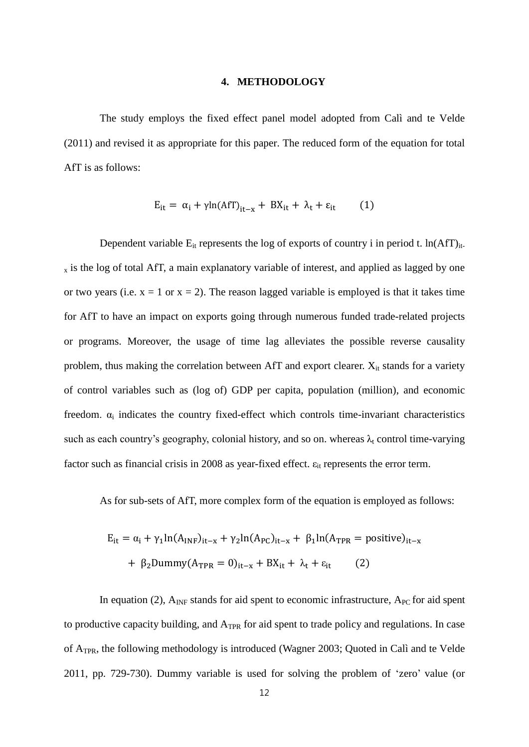#### **4. METHODOLOGY**

The study employs the fixed effect panel model adopted from Calì and te Velde (2011) and revised it as appropriate for this paper. The reduced form of the equation for total AfT is as follows:

$$
E_{it} = \alpha_i + \gamma \ln(Af)_{it-x} + BX_{it} + \lambda_t + \varepsilon_{it} \tag{1}
$$

Dependent variable  $E_{it}$  represents the log of exports of country i in period t. ln(AfT)<sub>it-</sub>  $_{x}$  is the log of total AfT, a main explanatory variable of interest, and applied as lagged by one or two years (i.e.  $x = 1$  or  $x = 2$ ). The reason lagged variable is employed is that it takes time for AfT to have an impact on exports going through numerous funded trade-related projects or programs. Moreover, the usage of time lag alleviates the possible reverse causality problem, thus making the correlation between AfT and export clearer.  $X_{it}$  stands for a variety of control variables such as (log of) GDP per capita, population (million), and economic freedom.  $\alpha_i$  indicates the country fixed-effect which controls time-invariant characteristics such as each country's geography, colonial history, and so on. whereas  $\lambda_t$  control time-varying factor such as financial crisis in 2008 as year-fixed effect.  $\varepsilon_{it}$  represents the error term.

As for sub-sets of AfT, more complex form of the equation is employed as follows:

$$
E_{it} = \alpha_i + \gamma_1 \ln(A_{INF})_{it-x} + \gamma_2 \ln(A_{PC})_{it-x} + \beta_1 \ln(A_{TPR} = positive)_{it-x}
$$
  
+  $\beta_2$  Dummy $(A_{TPR} = 0)_{it-x} + BX_{it} + \lambda_t + \varepsilon_{it}$  (2)

In equation (2),  $A_{INF}$  stands for aid spent to [economic infrastructure,](http://www.oecd.org/dac/aft/43860714.pdf)  $A_{PC}$  for aid spent to productive capacity building, and A<sub>TPR</sub> for aid spent to trade policy and regulations. In case of ATPR, the following methodology is introduced (Wagner 2003; Quoted in Calì and te Velde 2011, pp. 729-730). Dummy variable is used for solving the problem of 'zero' value (or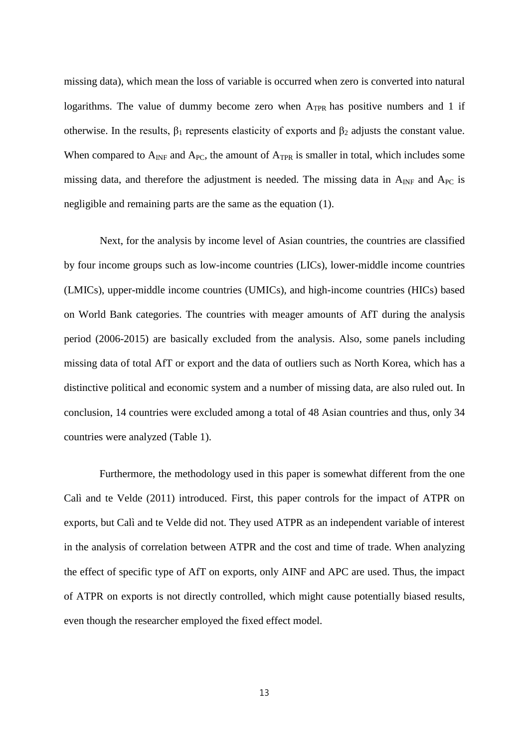missing data), which mean the loss of variable is occurred when zero is converted into natural logarithms. The value of dummy become zero when  $A_{TPR}$  has positive numbers and 1 if otherwise. In the results,  $\beta_1$  represents elasticity of exports and  $\beta_2$  adjusts the constant value. When compared to  $A_{INF}$  and  $A_{PC}$ , the amount of  $A_{TPR}$  is smaller in total, which includes some missing data, and therefore the adjustment is needed. The missing data in  $A_{\text{INF}}$  and  $A_{\text{PC}}$  is negligible and remaining parts are the same as the equation (1).

Next, for the analysis by income level of Asian countries, the countries are classified by four income groups such as low-income countries (LICs), lower-middle income countries (LMICs), upper-middle income countries (UMICs), and high-income countries (HICs) based on World Bank categories. The countries with meager amounts of AfT during the analysis period (2006-2015) are basically excluded from the analysis. Also, some panels including missing data of total AfT or export and the data of outliers such as North Korea, which has a distinctive political and economic system and a number of missing data, are also ruled out. In conclusion, 14 countries were excluded among a total of 48 Asian countries and thus, only 34 countries were analyzed (Table 1).

Furthermore, the methodology used in this paper is somewhat different from the one Calì and te Velde (2011) introduced. First, this paper controls for the impact of ATPR on exports, but Calì and te Velde did not. They used ATPR as an independent variable of interest in the analysis of correlation between ATPR and the cost and time of trade. When analyzing the effect of specific type of AfT on exports, only AINF and APC are used. Thus, the impact of ATPR on exports is not directly controlled, which might cause potentially biased results, even though the researcher employed the fixed effect model.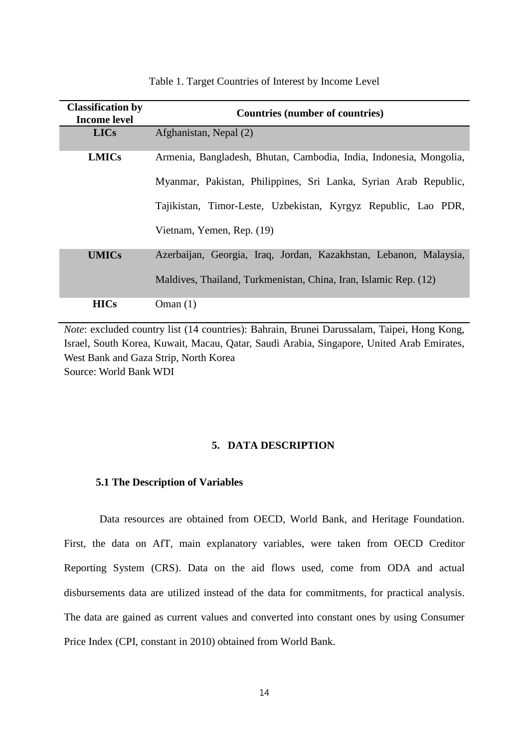| <b>Classification by</b><br><b>Income level</b> | <b>Countries (number of countries)</b>                             |  |  |  |  |  |
|-------------------------------------------------|--------------------------------------------------------------------|--|--|--|--|--|
| <b>LICs</b>                                     | Afghanistan, Nepal (2)                                             |  |  |  |  |  |
| <b>LMICs</b>                                    | Armenia, Bangladesh, Bhutan, Cambodia, India, Indonesia, Mongolia, |  |  |  |  |  |
|                                                 | Myanmar, Pakistan, Philippines, Sri Lanka, Syrian Arab Republic,   |  |  |  |  |  |
|                                                 | Tajikistan, Timor-Leste, Uzbekistan, Kyrgyz Republic, Lao PDR,     |  |  |  |  |  |
|                                                 | Vietnam, Yemen, Rep. (19)                                          |  |  |  |  |  |
| <b>UMICs</b>                                    | Azerbaijan, Georgia, Iraq, Jordan, Kazakhstan, Lebanon, Malaysia,  |  |  |  |  |  |
|                                                 | Maldives, Thailand, Turkmenistan, China, Iran, Islamic Rep. (12)   |  |  |  |  |  |
| <b>HICs</b>                                     | Oman $(1)$                                                         |  |  |  |  |  |

## Table 1. Target Countries of Interest by Income Level

*Note*: excluded country list (14 countries): Bahrain, Brunei Darussalam, Taipei, Hong Kong, Israel, South Korea, Kuwait, Macau, Qatar, Saudi Arabia, Singapore, United Arab Emirates, West Bank and Gaza Strip, North Korea Source: World Bank WDI

#### **5. DATA DESCRIPTION**

## **5.1 The Description of Variables**

Data resources are obtained from OECD, World Bank, and Heritage Foundation. First, the data on AfT, main explanatory variables, were taken from OECD Creditor Reporting System (CRS). Data on the aid flows used, come from ODA and actual disbursements data are utilized instead of the data for commitments, for practical analysis. The data are gained as current values and converted into constant ones by using Consumer Price Index (CPI, constant in 2010) obtained from World Bank.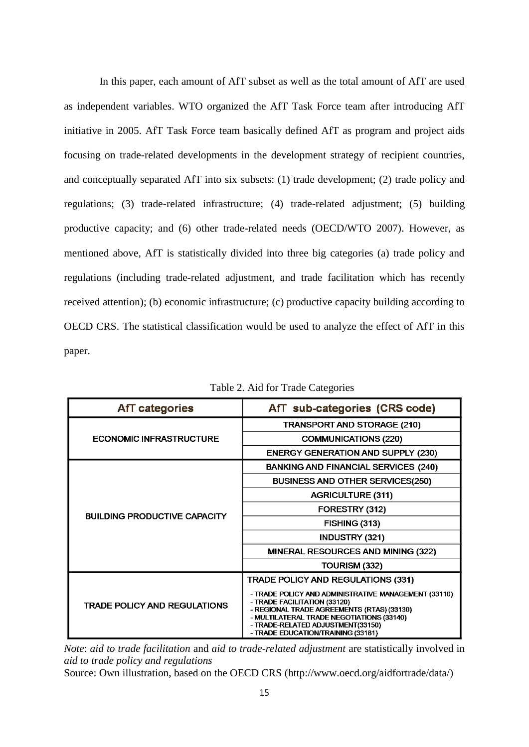In this paper, each amount of AfT subset as well as the total amount of AfT are used as independent variables. WTO organized the AfT Task Force team after introducing AfT initiative in 2005. AfT Task Force team basically defined AfT as program and project aids focusing on trade-related developments in the development strategy of recipient countries, and conceptually separated AfT into six subsets: (1) trade development; (2) trade policy and regulations; (3) trade-related infrastructure; (4) trade-related adjustment; (5) building productive capacity; and (6) other trade-related needs (OECD/WTO 2007). However, as mentioned above, AfT is statistically divided into three big categories (a) trade policy and regulations (including [trade-related adjustment,](http://www.oecd.org/dac/aft/43860704.pdf) and trade facilitation which has recently received attention); (b) [economic infrastructure;](http://www.oecd.org/dac/aft/43860714.pdf) (c) productive capacity building according to OECD CRS. The statistical classification would be used to analyze the effect of AfT in this paper.

| <b>AfT</b> categories               | AfT sub-categories (CRS code)                                                                                                                                                                                                                              |  |  |  |
|-------------------------------------|------------------------------------------------------------------------------------------------------------------------------------------------------------------------------------------------------------------------------------------------------------|--|--|--|
|                                     | <b>TRANSPORT AND STORAGE (210)</b>                                                                                                                                                                                                                         |  |  |  |
| <b>ECONOMIC INFRASTRUCTURE</b>      | <b>COMMUNICATIONS (220)</b>                                                                                                                                                                                                                                |  |  |  |
|                                     | <b>ENERGY GENERATION AND SUPPLY (230)</b>                                                                                                                                                                                                                  |  |  |  |
|                                     | <b>BANKING AND FINANCIAL SERVICES (240)</b>                                                                                                                                                                                                                |  |  |  |
|                                     | <b>BUSINESS AND OTHER SERVICES(250)</b>                                                                                                                                                                                                                    |  |  |  |
|                                     | <b>AGRICULTURE (311)</b>                                                                                                                                                                                                                                   |  |  |  |
|                                     | FORESTRY (312)                                                                                                                                                                                                                                             |  |  |  |
| <b>BUILDING PRODUCTIVE CAPACITY</b> | <b>FISHING (313)</b>                                                                                                                                                                                                                                       |  |  |  |
|                                     | <b>INDUSTRY (321)</b>                                                                                                                                                                                                                                      |  |  |  |
|                                     | <b>MINERAL RESOURCES AND MINING (322)</b>                                                                                                                                                                                                                  |  |  |  |
|                                     | TOURISM (332)                                                                                                                                                                                                                                              |  |  |  |
|                                     | <b>TRADE POLICY AND REGULATIONS (331)</b>                                                                                                                                                                                                                  |  |  |  |
| <b>TRADE POLICY AND REGULATIONS</b> | - TRADE POLICY AND ADMINISTRATIVE MANAGEMENT (33110)<br>- TRADE FACILITATION (33120)<br>- REGIONAL TRADE AGREEMENTS (RTAS) (33130)<br>- MULTILATERAL TRADE NEGOTIATIONS (33140)<br>- TRADE-RELATED ADJUSTMENT(33150)<br>- TRADE EDUCATION/TRAINING (33181) |  |  |  |

Table 2. Aid for Trade Categories

*Note*: *aid to trade facilitation* and *aid to trade-related adjustment* are statistically involved in *aid to trade policy and regulations*

Source: Own illustration, based on the OECD CRS (http://www.oecd.org/aidfortrade/data/)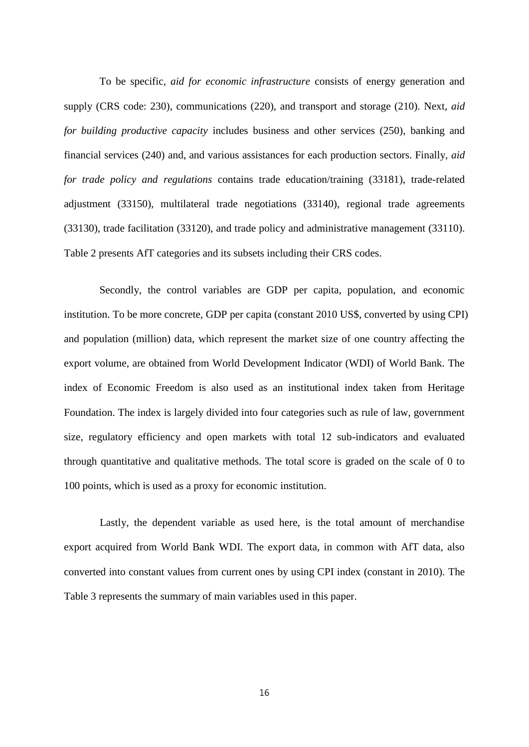To be specific*, aid for economic infrastructure* consists of energy generation and supply (CRS code: 230), communications (220), and transport and storage (210). Next, *aid for building productive capacity* includes business and other services (250), banking and financial services (240) and, and various assistances for each production sectors. Finally, *aid for trade policy and regulations* contains trade education/training (33181), trade-related adjustment (33150), multilateral trade negotiations (33140), regional trade agreements (33130), trade facilitation (33120), and trade policy and administrative management (33110). Table 2 presents AfT categories and its subsets including their CRS codes.

Secondly, the control variables are GDP per capita, population, and economic institution. To be more concrete, GDP per capita (constant 2010 US\$, converted by using CPI) and population (million) data, which represent the market size of one country affecting the export volume, are obtained from World Development Indicator (WDI) of World Bank. The index of Economic Freedom is also used as an institutional index taken from Heritage Foundation. The index is largely divided into four categories such as rule of law, government size, regulatory efficiency and open markets with total 12 sub-indicators and evaluated through quantitative and qualitative methods. The total score is graded on the scale of 0 to 100 points, which is used as a proxy for economic institution.

Lastly, the dependent variable as used here, is the total amount of merchandise export acquired from World Bank WDI. The export data, in common with AfT data, also converted into constant values from current ones by using CPI index (constant in 2010). The Table 3 represents the summary of main variables used in this paper.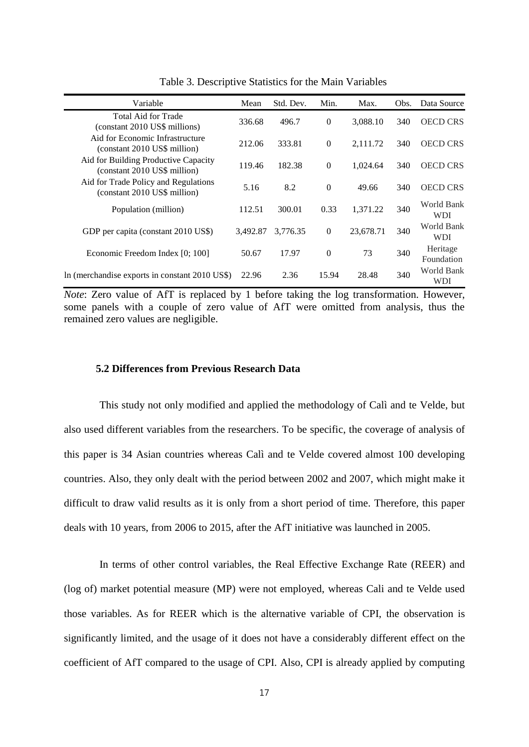| Variable                                                             | Mean     | Std. Dev. | Min.           | Max.      | Obs. | Data Source              |
|----------------------------------------------------------------------|----------|-----------|----------------|-----------|------|--------------------------|
| Total Aid for Trade<br>(constant 2010 US\$ millions)                 | 336.68   | 496.7     | $\overline{0}$ | 3.088.10  | 340  | <b>OECD CRS</b>          |
| Aid for Economic Infrastructure<br>(constant 2010 US\$ million)      | 212.06   | 333.81    | $\mathbf{0}$   | 2,111.72  | 340  | <b>OECD CRS</b>          |
| Aid for Building Productive Capacity<br>(constant 2010 US\$ million) | 119.46   | 182.38    | $\overline{0}$ | 1,024.64  | 340  | <b>OECD CRS</b>          |
| Aid for Trade Policy and Regulations<br>(constant 2010 US\$ million) | 5.16     | 8.2       | $\Omega$       | 49.66     | 340  | <b>OECD CRS</b>          |
| Population (million)                                                 | 112.51   | 300.01    | 0.33           | 1,371.22  | 340  | World Bank<br><b>WDI</b> |
| GDP per capita (constant 2010 US\$)                                  | 3,492.87 | 3.776.35  | $\mathbf{0}$   | 23,678.71 | 340  | World Bank<br><b>WDI</b> |
| Economic Freedom Index [0; 100]                                      | 50.67    | 17.97     | $\Omega$       | 73        | 340  | Heritage<br>Foundation   |
| In (merchandise exports in constant 2010 US\$)                       | 22.96    | 2.36      | 15.94          | 28.48     | 340  | World Bank<br>WDI        |

Table 3. Descriptive Statistics for the Main Variables

*Note*: Zero value of AfT is replaced by 1 before taking the log transformation. However, some panels with a couple of zero value of AfT were omitted from analysis, thus the remained zero values are negligible.

## **5.2 Differences from Previous Research Data**

This study not only modified and applied the methodology of Calì and te Velde, but also used different variables from the researchers. To be specific, the coverage of analysis of this paper is 34 Asian countries whereas Calì and te Velde covered almost 100 developing countries. Also, they only dealt with the period between 2002 and 2007, which might make it difficult to draw valid results as it is only from a short period of time. Therefore, this paper deals with 10 years, from 2006 to 2015, after the AfT initiative was launched in 2005.

In terms of other control variables, the Real Effective Exchange Rate (REER) and (log of) market potential measure (MP) were not employed, whereas Cali and te Velde used those variables. As for REER which is the alternative variable of CPI, the observation is significantly limited, and the usage of it does not have a considerably different effect on the coefficient of AfT compared to the usage of CPI. Also, CPI is already applied by computing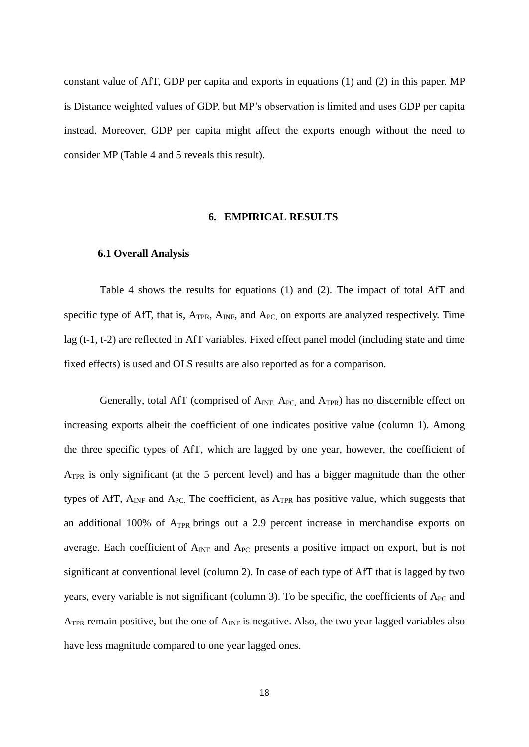constant value of AfT, GDP per capita and exports in equations (1) and (2) in this paper. MP is Distance weighted values of GDP, but MP's observation is limited and uses GDP per capita instead. Moreover, GDP per capita might affect the exports enough without the need to consider MP (Table 4 and 5 reveals this result).

#### **6. EMPIRICAL RESULTS**

#### **6.1 Overall Analysis**

Table 4 shows the results for equations (1) and (2). The impact of total AfT and specific type of AfT, that is,  $A_{TPR}$ ,  $A_{INF}$ , and  $A_{PC}$  on exports are analyzed respectively. Time lag (t-1, t-2) are reflected in AfT variables. Fixed effect panel model (including state and time fixed effects) is used and OLS results are also reported as for a comparison.

Generally, total AfT (comprised of  $A_{INF}$ ,  $A_{PC}$ , and  $A_{TPR}$ ) has no discernible effect on increasing exports albeit the coefficient of one indicates positive value (column 1). Among the three specific types of AfT, which are lagged by one year, however, the coefficient of ATPR is only significant (at the 5 percent level) and has a bigger magnitude than the other types of AfT,  $A_{INF}$  and  $A_{PC}$ . The coefficient, as  $A_{TPR}$  has positive value, which suggests that an additional 100% of ATPR brings out a 2.9 percent increase in merchandise exports on average. Each coefficient of  $A_{INF}$  and  $A_{PC}$  presents a positive impact on export, but is not significant at conventional level (column 2). In case of each type of AfT that is lagged by two years, every variable is not significant (column 3). To be specific, the coefficients of  $A_{PC}$  and  $A_{TPR}$  remain positive, but the one of  $A_{INF}$  is negative. Also, the two year lagged variables also have less magnitude compared to one year lagged ones.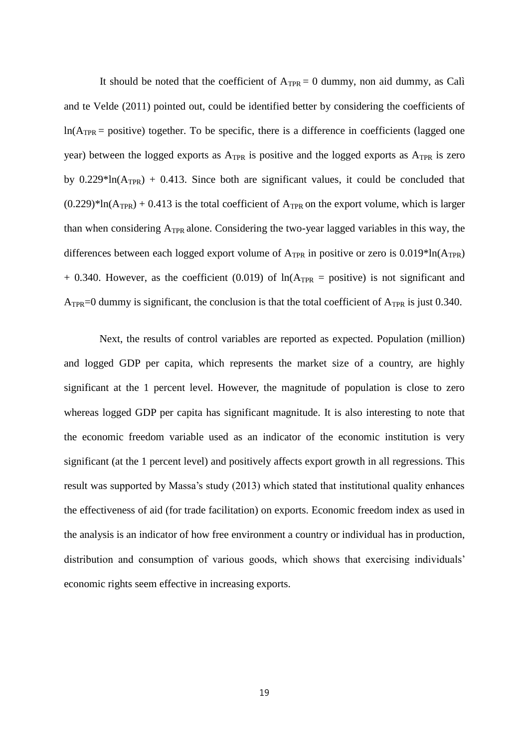It should be noted that the coefficient of  $A_{TPR} = 0$  dummy, non aid dummy, as Calì and te Velde (2011) pointed out, could be identified better by considering the coefficients of  $ln(A_{TPR} = positive)$  together. To be specific, there is a difference in coefficients (lagged one year) between the logged exports as A<sub>TPR</sub> is positive and the logged exports as A<sub>TPR</sub> is zero by  $0.229*ln(A_{TPR}) + 0.413$ . Since both are significant values, it could be concluded that  $(0.229)$ <sup>\*</sup>ln(A<sub>TPR</sub>) + 0.413 is the total coefficient of A<sub>TPR</sub> on the export volume, which is larger than when considering  $A_{TPR}$  alone. Considering the two-year lagged variables in this way, the differences between each logged export volume of  $A_{TPR}$  in positive or zero is  $0.019*ln(A_{TPR})$  $+ 0.340$ . However, as the coefficient (0.019) of  $ln(A_{TPR} = positive)$  is not significant and A<sub>TPR</sub>=0 dummy is significant, the conclusion is that the total coefficient of A<sub>TPR</sub> is just 0.340.

Next, the results of control variables are reported as expected. Population (million) and logged GDP per capita, which represents the market size of a country, are highly significant at the 1 percent level. However, the magnitude of population is close to zero whereas logged GDP per capita has significant magnitude. It is also interesting to note that the economic freedom variable used as an indicator of the economic institution is very significant (at the 1 percent level) and positively affects export growth in all regressions. This result was supported by Massa's study (2013) which stated that institutional quality enhances the effectiveness of aid (for trade facilitation) on exports. Economic freedom index as used in the analysis is an indicator of how free environment a country or individual has in production, distribution and consumption of various goods, which shows that exercising individuals' economic rights seem effective in increasing exports.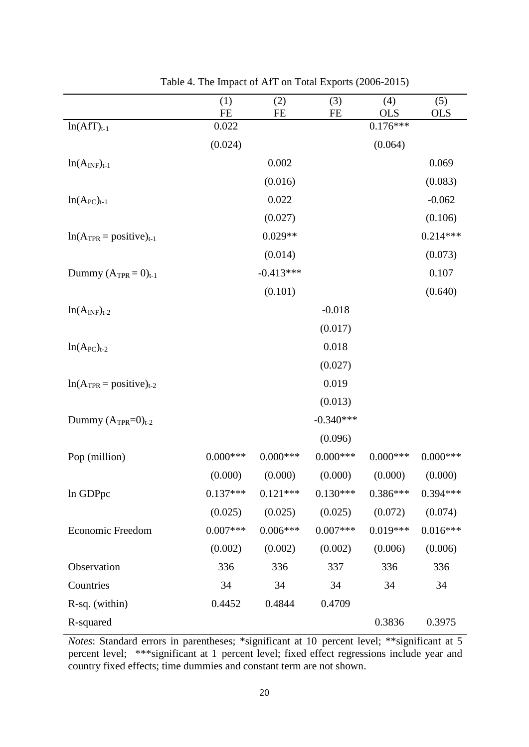|                                | (1)<br><b>FE</b> | (2)<br><b>FE</b> | (3)<br><b>FE</b> | (4)<br><b>OLS</b> | (5)<br><b>OLS</b> |
|--------------------------------|------------------|------------------|------------------|-------------------|-------------------|
| $ln(AfT)t-1$                   | 0.022            |                  |                  | $0.176***$        |                   |
|                                | (0.024)          |                  |                  | (0.064)           |                   |
| $ln(A_{INF})_{t-1}$            |                  | 0.002            |                  |                   | 0.069             |
|                                |                  | (0.016)          |                  |                   | (0.083)           |
| $ln(A_{PC})_{t-1}$             |                  | 0.022            |                  |                   | $-0.062$          |
|                                |                  | (0.027)          |                  |                   | (0.106)           |
| $ln(A_{TPR} = positive)_{t-1}$ |                  | $0.029**$        |                  |                   | $0.214***$        |
|                                |                  | (0.014)          |                  |                   | (0.073)           |
| Dummy $(A_{TPR} = 0)_{t-1}$    |                  | $-0.413***$      |                  |                   | 0.107             |
|                                |                  | (0.101)          |                  |                   | (0.640)           |
| $ln(A_{INF})_{t-2}$            |                  |                  | $-0.018$         |                   |                   |
|                                |                  |                  | (0.017)          |                   |                   |
| $ln(A_{PC})_{t-2}$             |                  |                  | 0.018            |                   |                   |
|                                |                  |                  | (0.027)          |                   |                   |
| $ln(A_{TPR} = positive)_{t-2}$ |                  |                  | 0.019            |                   |                   |
|                                |                  |                  | (0.013)          |                   |                   |
| Dummy $(A_{TPR}=0)_{t-2}$      |                  |                  | $-0.340***$      |                   |                   |
|                                |                  |                  | (0.096)          |                   |                   |
| Pop (million)                  | $0.000$ ***      | $0.000$ ***      | $0.000***$       | $0.000$ ***       | $0.000$ ***       |
|                                | (0.000)          | (0.000)          | (0.000)          | (0.000)           | (0.000)           |
| In GDPpc                       | $0.137***$       | $0.121***$       | $0.130***$       | $0.386***$        | $0.394***$        |
|                                | (0.025)          | (0.025)          | (0.025)          | (0.072)           | (0.074)           |
| Economic Freedom               | $0.007***$       | $0.006***$       | $0.007***$       | $0.019***$        | $0.016***$        |
|                                | (0.002)          | (0.002)          | (0.002)          | (0.006)           | (0.006)           |
| Observation                    | 336              | 336              | 337              | 336               | 336               |
| Countries                      | 34               | 34               | 34               | 34                | 34                |
| R-sq. (within)                 | 0.4452           | 0.4844           | 0.4709           |                   |                   |
| R-squared                      |                  |                  |                  | 0.3836            | 0.3975            |

Table 4. The Impact of AfT on Total Exports (2006-2015)

*Notes*: Standard errors in parentheses; \*significant at 10 percent level; \*\*significant at 5 percent level; \*\*\*significant at 1 percent level; fixed effect regressions include year and country fixed effects; time dummies and constant term are not shown.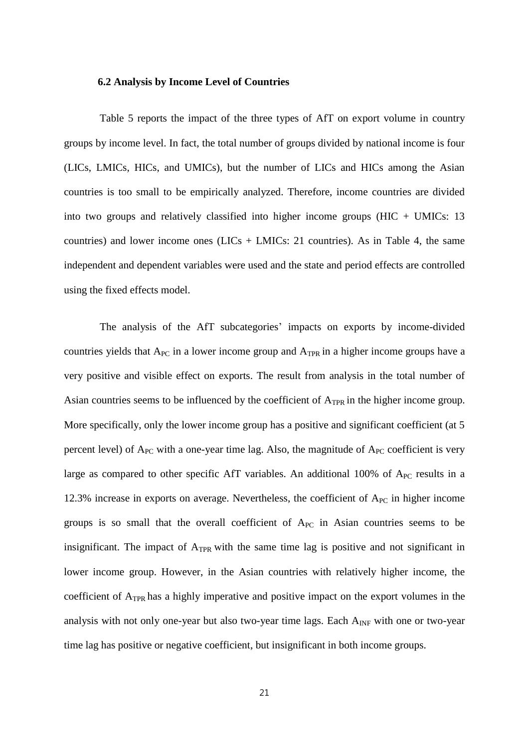## **6.2 Analysis by Income Level of Countries**

Table 5 reports the impact of the three types of AfT on export volume in country groups by income level. In fact, the total number of groups divided by national income is four (LICs, LMICs, HICs, and UMICs), but the number of LICs and HICs among the Asian countries is too small to be empirically analyzed. Therefore, income countries are divided into two groups and relatively classified into higher income groups  $(HIC + UMICs: 13)$ countries) and lower income ones  $(LICs + LMICs: 21$  countries). As in Table 4, the same independent and dependent variables were used and the state and period effects are controlled using the fixed effects model.

The analysis of the AfT subcategories' impacts on exports by income-divided countries yields that  $A_{PC}$  in a lower income group and  $A_{TPR}$  in a higher income groups have a very positive and visible effect on exports. The result from analysis in the total number of Asian countries seems to be influenced by the coefficient of A<sub>TPR</sub> in the higher income group. More specifically, only the lower income group has a positive and significant coefficient (at 5 percent level) of  $A_{PC}$  with a one-year time lag. Also, the magnitude of  $A_{PC}$  coefficient is very large as compared to other specific AfT variables. An additional 100% of A<sub>PC</sub> results in a 12.3% increase in exports on average. Nevertheless, the coefficient of  $A_{PC}$  in higher income groups is so small that the overall coefficient of  $A_{PC}$  in Asian countries seems to be insignificant. The impact of  $A_{TPR}$  with the same time lag is positive and not significant in lower income group. However, in the Asian countries with relatively higher income, the coefficient of  $A_{TPR}$  has a highly imperative and positive impact on the export volumes in the analysis with not only one-year but also two-year time lags. Each  $A_{INF}$  with one or two-year time lag has positive or negative coefficient, but insignificant in both income groups.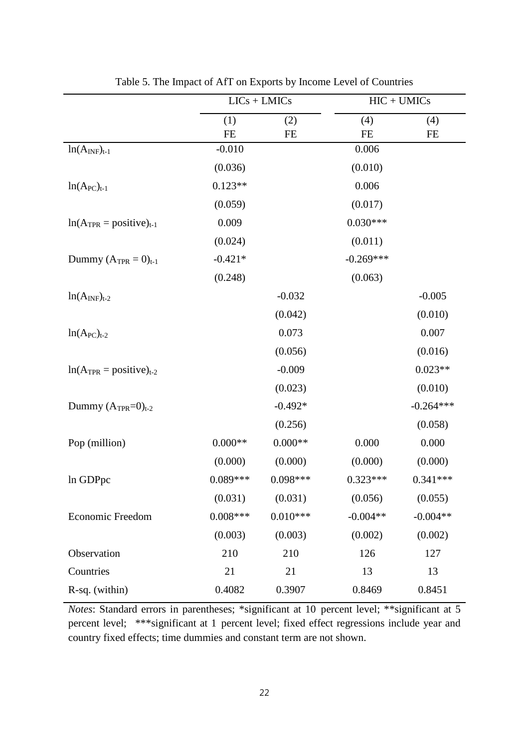|                                |                       | $LICs + LMICs$ |                    | $HIC + UMICs$ |
|--------------------------------|-----------------------|----------------|--------------------|---------------|
|                                | (1)                   | (2)            | (4)                | (4)           |
|                                | <b>FE</b><br>$-0.010$ | FE             | <b>FE</b><br>0.006 | FE            |
| $ln(A_{INF})_{t-1}$            |                       |                |                    |               |
|                                | (0.036)               |                | (0.010)            |               |
| $ln(A_{PC})_{t-1}$             | $0.123**$             |                | 0.006              |               |
|                                | (0.059)               |                | (0.017)            |               |
| $ln(A_{TPR} = positive)_{t-1}$ | 0.009                 |                | $0.030***$         |               |
|                                | (0.024)               |                | (0.011)            |               |
| Dummy $(A_{TPR} = 0)_{t-1}$    | $-0.421*$             |                | $-0.269***$        |               |
|                                | (0.248)               |                | (0.063)            |               |
| $ln(A_{INF})_{t-2}$            |                       | $-0.032$       |                    | $-0.005$      |
|                                |                       | (0.042)        |                    | (0.010)       |
| $ln(A_{PC})_{t-2}$             |                       | 0.073          |                    | 0.007         |
|                                |                       | (0.056)        |                    | (0.016)       |
| $ln(A_{TPR} = positive)_{t-2}$ |                       | $-0.009$       |                    | $0.023**$     |
|                                |                       | (0.023)        |                    | (0.010)       |
| Dummy $(A_{TPR}=0)_{t-2}$      |                       | $-0.492*$      |                    | $-0.264***$   |
|                                |                       | (0.256)        |                    | (0.058)       |
| Pop (million)                  | $0.000**$             | $0.000**$      | 0.000              | 0.000         |
|                                | (0.000)               | (0.000)        | (0.000)            | (0.000)       |
| In GDPpc                       | 0.089***              | $0.098***$     | $0.323***$         | $0.341***$    |
|                                | (0.031)               | (0.031)        | (0.056)            | (0.055)       |
| <b>Economic Freedom</b>        | $0.008***$            | $0.010***$     | $-0.004**$         | $-0.004**$    |
|                                | (0.003)               | (0.003)        | (0.002)            | (0.002)       |
| Observation                    | 210                   | 210            | 126                | 127           |
| Countries                      | 21                    | 21             | 13                 | 13            |
| R-sq. (within)                 | 0.4082                | 0.3907         | 0.8469             | 0.8451        |

Table 5. The Impact of AfT on Exports by Income Level of Countries

*Notes*: Standard errors in parentheses; \*significant at 10 percent level; \*\*significant at 5 percent level; \*\*\*significant at 1 percent level; fixed effect regressions include year and country fixed effects; time dummies and constant term are not shown.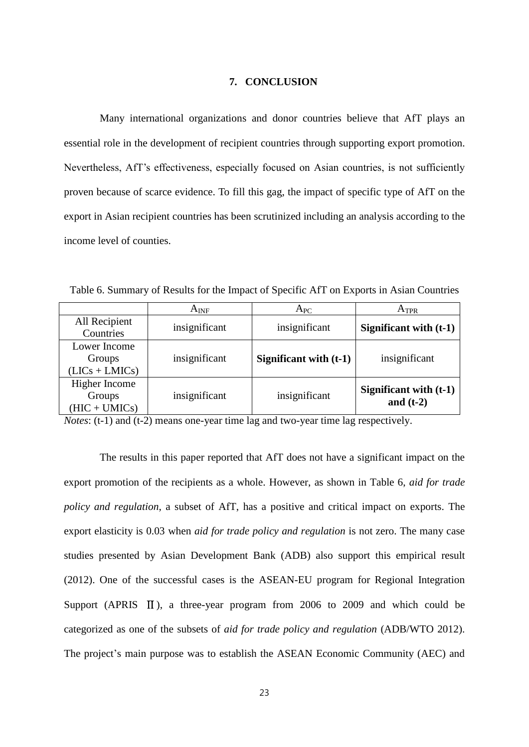#### **7. CONCLUSION**

Many international organizations and donor countries believe that AfT plays an essential role in the development of recipient countries through supporting export promotion. Nevertheless, AfT's effectiveness, especially focused on Asian countries, is not sufficiently proven because of scarce evidence. To fill this gag, the impact of specific type of AfT on the export in Asian recipient countries has been scrutinized including an analysis according to the income level of counties.

Table 6. Summary of Results for the Impact of Specific AfT on Exports in Asian Countries

|                                            | $A_{INF}$     | $A_{PC}$                 | ATPR                                  |
|--------------------------------------------|---------------|--------------------------|---------------------------------------|
| All Recipient<br>Countries                 | insignificant | insignificant            | Significant with (t-1)                |
| Lower Income<br>Groups<br>$(LICs + LMICs)$ | insignificant | Significant with $(t-1)$ | insignificant                         |
| Higher Income<br>Groups<br>$(HIC + UMICs)$ | insignificant | insignificant            | Significant with (t-1)<br>and $(t-2)$ |

*Notes*: (t-1) and (t-2) means one-year time lag and two-year time lag respectively.

The results in this paper reported that AfT does not have a significant impact on the export promotion of the recipients as a whole. However, as shown in Table 6, *aid for trade policy and regulation*, a subset of AfT, has a positive and critical impact on exports. The export elasticity is 0.03 when *aid for trade policy and regulation* is not zero. The many case studies presented by Asian Development Bank (ADB) also support this empirical result (2012). One of the successful cases is the ASEAN-EU program for Regional Integration Support (APRIS  $\text{II}$ ), a three-year program from 2006 to 2009 and which could be categorized as one of the subsets of *aid for trade policy and regulation* (ADB/WTO 2012). The project's main purpose was to establish the ASEAN Economic Community (AEC) and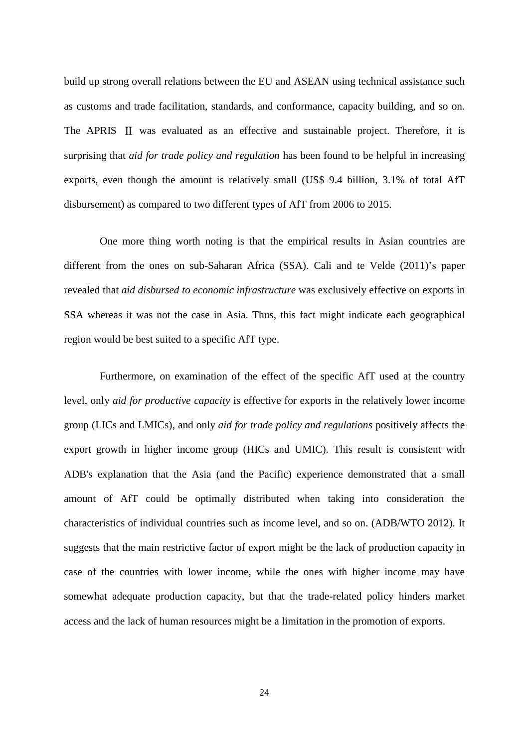build up strong overall relations between the EU and ASEAN using technical assistance such as customs and trade facilitation, standards, and conformance, capacity building, and so on. The APRIS  $\Pi$  was evaluated as an effective and sustainable project. Therefore, it is surprising that *aid for trade policy and regulation* has been found to be helpful in increasing exports, even though the amount is relatively small (US\$ 9.4 billion, 3.1% of total AfT disbursement) as compared to two different types of AfT from 2006 to 2015.

One more thing worth noting is that the empirical results in Asian countries are different from the ones on sub-Saharan Africa (SSA). Cali and te Velde (2011)'s paper revealed that *aid disbursed to [economic infrastructure](http://www.oecd.org/dac/aft/43860714.pdf)* was exclusively effective on exports in SSA whereas it was not the case in Asia. Thus, this fact might indicate each geographical region would be best suited to a specific AfT type.

Furthermore, on examination of the effect of the specific AfT used at the country level, only *aid for productive capacity* is effective for exports in the relatively lower income group (LICs and LMICs), and only *aid for trade policy and regulations* positively affects the export growth in higher income group (HICs and UMIC). This result is consistent with ADB's explanation that the Asia (and the Pacific) experience demonstrated that a small amount of AfT could be optimally distributed when taking into consideration the characteristics of individual countries such as income level, and so on. (ADB/WTO 2012). It suggests that the main restrictive factor of export might be the lack of production capacity in case of the countries with lower income, while the ones with higher income may have somewhat adequate production capacity, but that the trade-related policy hinders market access and the lack of human resources might be a limitation in the promotion of exports.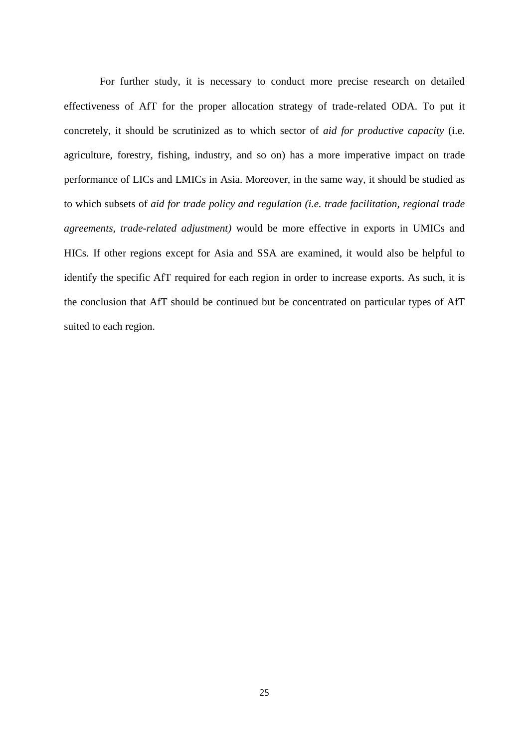For further study, it is necessary to conduct more precise research on detailed effectiveness of AfT for the proper allocation strategy of trade-related ODA. To put it concretely, it should be scrutinized as to which sector of *aid for productive capacity* (i.e. agriculture, forestry, fishing, industry, and so on) has a more imperative impact on trade performance of LICs and LMICs in Asia. Moreover, in the same way, it should be studied as to which subsets of *aid for trade policy and regulation (i.e. trade facilitation, regional trade agreements, trade-related adjustment)* would be more effective in exports in UMICs and HICs. If other regions except for Asia and SSA are examined, it would also be helpful to identify the specific AfT required for each region in order to increase exports. As such, it is the conclusion that AfT should be continued but be concentrated on particular types of AfT suited to each region.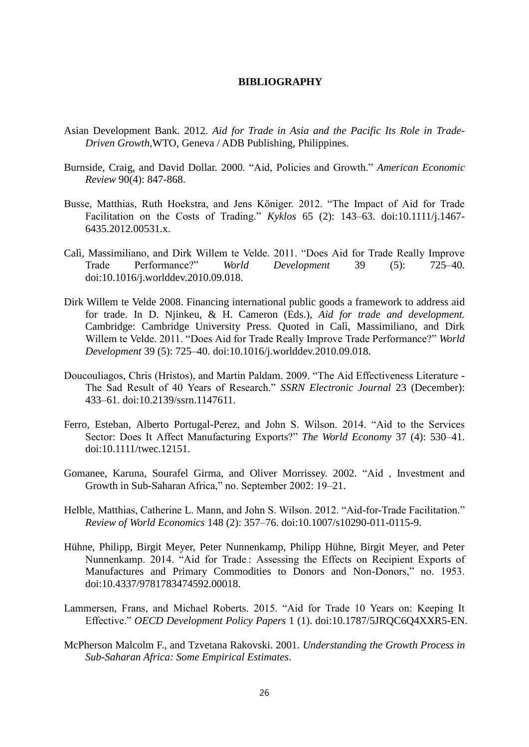## **BIBLIOGRAPHY**

- Asian Development Bank. 2012. *Aid for Trade in Asia and the Pacific Its Role in Trade-Driven Growth,*WTO, Geneva / ADB Publishing, Philippines.
- Burnside, Craig, and David Dollar. 2000. "Aid, Policies and Growth." *American Economic Review* 90(4): 847-868.
- Busse, Matthias, Ruth Hoekstra, and Jens Königer. 2012. "The Impact of Aid for Trade Facilitation on the Costs of Trading." *Kyklos* 65 (2): 143–63. doi:10.1111/j.1467- 6435.2012.00531.x.
- Calì, Massimiliano, and Dirk Willem te Velde. 2011. "Does Aid for Trade Really Improve Trade Performance?" *World Development* 39 (5): 725–40. doi:10.1016/j.worlddev.2010.09.018.
- Dirk Willem te Velde 2008. Financing international public goods a framework to address aid for trade. In D. Njinkeu, & H. Cameron (Eds.), *Aid for trade and development.* Cambridge: Cambridge University Press. Quoted in Calì, Massimiliano, and Dirk Willem te Velde. 2011. "Does Aid for Trade Really Improve Trade Performance?" *World Development* 39 (5): 725–40. doi:10.1016/j.worlddev.2010.09.018.
- Doucouliagos, Chris (Hristos), and Martin Paldam. 2009. "The Aid Effectiveness Literature The Sad Result of 40 Years of Research." *SSRN Electronic Journal* 23 (December): 433–61. doi:10.2139/ssrn.1147611.
- Ferro, Esteban, Alberto Portugal-Perez, and John S. Wilson. 2014. "Aid to the Services Sector: Does It Affect Manufacturing Exports?" *The World Economy* 37 (4): 530–41. doi:10.1111/twec.12151.
- Gomanee, Karuna, Sourafel Girma, and Oliver Morrissey. 2002. "Aid , Investment and Growth in Sub-Saharan Africa," no. September 2002: 19–21.
- Helble, Matthias, Catherine L. Mann, and John S. Wilson. 2012. "Aid-for-Trade Facilitation." *Review of World Economics* 148 (2): 357–76. doi:10.1007/s10290-011-0115-9.
- Hühne, Philipp, Birgit Meyer, Peter Nunnenkamp, Philipp Hühne, Birgit Meyer, and Peter Nunnenkamp. 2014. "Aid for Trade : Assessing the Effects on Recipient Exports of Manufactures and Primary Commodities to Donors and Non-Donors," no. 1953. doi:10.4337/9781783474592.00018.
- Lammersen, Frans, and Michael Roberts. 2015. "Aid for Trade 10 Years on: Keeping It Effective." *OECD Development Policy Papers* 1 (1). doi:10.1787/5JRQC6Q4XXR5-EN.
- McPherson Malcolm F., and Tzvetana Rakovski. 2001. *Understanding the Growth Process in Sub-Saharan Africa: Some Empirical Estimates*.